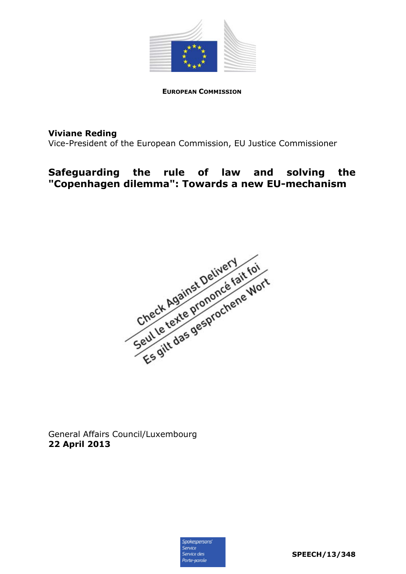

**EUROPEAN COMMISSION**

**Viviane Reding** 

Vice-President of the European Commission, EU Justice Commissioner

## **Safeguarding the rule of law and solving the "Copenhagen dilemma": Towards a new EU-mechanism**



General Affairs Council/Luxembourg **22 April 2013** 

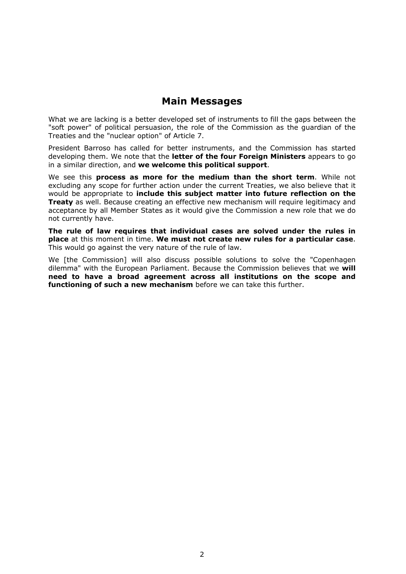## **Main Messages**

What we are lacking is a better developed set of instruments to fill the gaps between the "soft power" of political persuasion, the role of the Commission as the guardian of the Treaties and the "nuclear option" of Article 7.

President Barroso has called for better instruments, and the Commission has started developing them. We note that the **letter of the four Foreign Ministers** appears to go in a similar direction, and **we welcome this political support**.

We see this **process as more for the medium than the short term**. While not excluding any scope for further action under the current Treaties, we also believe that it would be appropriate to **include this subject matter into future reflection on the Treaty** as well. Because creating an effective new mechanism will require legitimacy and acceptance by all Member States as it would give the Commission a new role that we do not currently have.

**The rule of law requires that individual cases are solved under the rules in place** at this moment in time. **We must not create new rules for a particular case**. This would go against the very nature of the rule of law.

We [the Commission] will also discuss possible solutions to solve the "Copenhagen dilemma" with the European Parliament. Because the Commission believes that we **will need to have a broad agreement across all institutions on the scope and functioning of such a new mechanism** before we can take this further.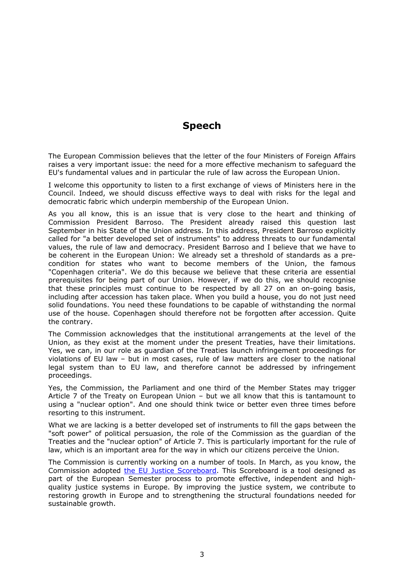## **Speech**

The European Commission believes that the letter of the four Ministers of Foreign Affairs raises a very important issue: the need for a more effective mechanism to safeguard the EU's fundamental values and in particular the rule of law across the European Union.

I welcome this opportunity to listen to a first exchange of views of Ministers here in the Council. Indeed, we should discuss effective ways to deal with risks for the legal and democratic fabric which underpin membership of the European Union.

As you all know, this is an issue that is very close to the heart and thinking of Commission President Barroso. The President already raised this question last September in his State of the Union address. In this address, President Barroso explicitly called for "a better developed set of instruments" to address threats to our fundamental values, the rule of law and democracy. President Barroso and I believe that we have to be coherent in the European Union: We already set a threshold of standards as a precondition for states who want to become members of the Union, the famous "Copenhagen criteria". We do this because we believe that these criteria are essential prerequisites for being part of our Union. However, if we do this, we should recognise that these principles must continue to be respected by all 27 on an on-going basis, including after accession has taken place. When you build a house, you do not just need solid foundations. You need these foundations to be capable of withstanding the normal use of the house. Copenhagen should therefore not be forgotten after accession. Quite the contrary.

The Commission acknowledges that the institutional arrangements at the level of the Union, as they exist at the moment under the present Treaties, have their limitations. Yes, we can, in our role as guardian of the Treaties launch infringement proceedings for violations of EU law – but in most cases, rule of law matters are closer to the national legal system than to EU law, and therefore cannot be addressed by infringement proceedings.

Yes, the Commission, the Parliament and one third of the Member States may trigger Article 7 of the Treaty on European Union – but we all know that this is tantamount to using a "nuclear option". And one should think twice or better even three times before resorting to this instrument.

What we are lacking is a better developed set of instruments to fill the gaps between the "soft power" of political persuasion, the role of the Commission as the guardian of the Treaties and the "nuclear option" of Article 7. This is particularly important for the rule of law, which is an important area for the way in which our citizens perceive the Union.

The Commission is currently working on a number of tools. In March, as you know, the Commission adopted [the EU Justice Scoreboard.](http://europa.eu/rapid/press-release_IP-13-285_en.htm) This Scoreboard is a tool designed as part of the European Semester process to promote effective, independent and highquality justice systems in Europe. By improving the justice system, we contribute to restoring growth in Europe and to strengthening the structural foundations needed for sustainable growth.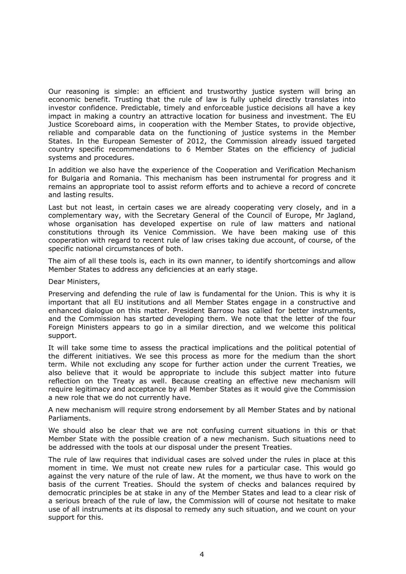Our reasoning is simple: an efficient and trustworthy justice system will bring an economic benefit. Trusting that the rule of law is fully upheld directly translates into investor confidence. Predictable, timely and enforceable justice decisions all have a key impact in making a country an attractive location for business and investment. The EU Justice Scoreboard aims, in cooperation with the Member States, to provide objective, reliable and comparable data on the functioning of justice systems in the Member States. In the European Semester of 2012, the Commission already issued targeted country specific recommendations to 6 Member States on the efficiency of judicial systems and procedures.

In addition we also have the experience of the Cooperation and Verification Mechanism for Bulgaria and Romania. This mechanism has been instrumental for progress and it remains an appropriate tool to assist reform efforts and to achieve a record of concrete and lasting results.

Last but not least, in certain cases we are already cooperating very closely, and in a complementary way, with the Secretary General of the Council of Europe, Mr Jagland, whose organisation has developed expertise on rule of law matters and national constitutions through its Venice Commission. We have been making use of this cooperation with regard to recent rule of law crises taking due account, of course, of the specific national circumstances of both.

The aim of all these tools is, each in its own manner, to identify shortcomings and allow Member States to address any deficiencies at an early stage.

Dear Ministers,

Preserving and defending the rule of law is fundamental for the Union. This is why it is important that all EU institutions and all Member States engage in a constructive and enhanced dialogue on this matter. President Barroso has called for better instruments, and the Commission has started developing them. We note that the letter of the four Foreign Ministers appears to go in a similar direction, and we welcome this political support.

It will take some time to assess the practical implications and the political potential of the different initiatives. We see this process as more for the medium than the short term. While not excluding any scope for further action under the current Treaties, we also believe that it would be appropriate to include this subject matter into future reflection on the Treaty as well. Because creating an effective new mechanism will require legitimacy and acceptance by all Member States as it would give the Commission a new role that we do not currently have.

A new mechanism will require strong endorsement by all Member States and by national Parliaments.

We should also be clear that we are not confusing current situations in this or that Member State with the possible creation of a new mechanism. Such situations need to be addressed with the tools at our disposal under the present Treaties.

The rule of law requires that individual cases are solved under the rules in place at this moment in time. We must not create new rules for a particular case. This would go against the very nature of the rule of law. At the moment, we thus have to work on the basis of the current Treaties. Should the system of checks and balances required by democratic principles be at stake in any of the Member States and lead to a clear risk of a serious breach of the rule of law, the Commission will of course not hesitate to make use of all instruments at its disposal to remedy any such situation, and we count on your support for this.